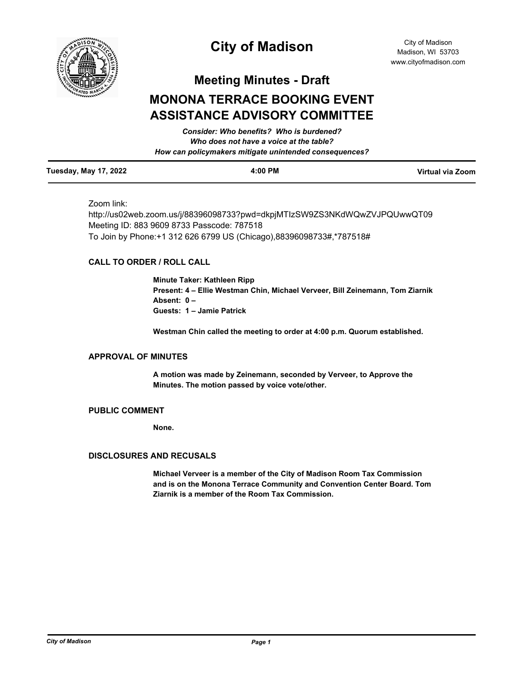

# **City of Madison**

City of Madison Madison, WI 53703 www.cityofmadison.com

**Meeting Minutes - Draft**

# **MONONA TERRACE BOOKING EVENT ASSISTANCE ADVISORY COMMITTEE**

|                              | Consider: Who benefits? Who is burdened?               |                  |
|------------------------------|--------------------------------------------------------|------------------|
|                              | Who does not have a voice at the table?                |                  |
|                              | How can policymakers mitigate unintended consequences? |                  |
| <b>Tuesday, May 17, 2022</b> | $4:00$ PM                                              | Virtual via Zoom |

# Zoom link:

http://us02web.zoom.us/j/88396098733?pwd=dkpjMTIzSW9ZS3NKdWQwZVJPQUwwQT09 Meeting ID: 883 9609 8733 Passcode: 787518 To Join by Phone:+1 312 626 6799 US (Chicago),88396098733#,\*787518#

# **CALL TO ORDER / ROLL CALL**

**Minute Taker: Kathleen Ripp Present: 4 – Ellie Westman Chin, Michael Verveer, Bill Zeinemann, Tom Ziarnik Absent: 0 – Guests: 1 – Jamie Patrick**

**Westman Chin called the meeting to order at 4:00 p.m. Quorum established.**

# **APPROVAL OF MINUTES**

**A motion was made by Zeinemann, seconded by Verveer, to Approve the Minutes. The motion passed by voice vote/other.**

### **PUBLIC COMMENT**

**None.**

#### **DISCLOSURES AND RECUSALS**

**Michael Verveer is a member of the City of Madison Room Tax Commission and is on the Monona Terrace Community and Convention Center Board. Tom Ziarnik is a member of the Room Tax Commission.**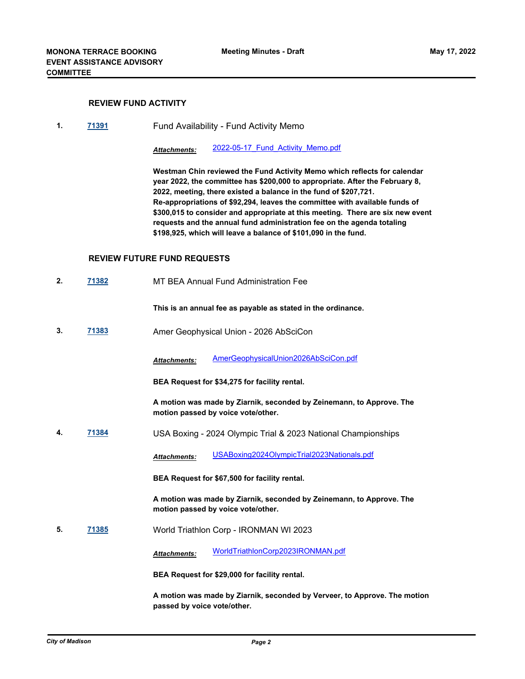# **REVIEW FUND ACTIVITY**

**1. [71391](http://madison.legistar.com/gateway.aspx?m=l&id=/matter.aspx?key=83320)** Fund Availability - Fund Activity Memo

*Attachments:* [2022-05-17\\_Fund\\_Activity\\_Memo.pdf](http://madison.legistar.com/gateway.aspx?M=F&ID=c9e62978-7437-43c2-a734-8408e315b6e0.pdf)

**Westman Chin reviewed the Fund Activity Memo which reflects for calendar year 2022, the committee has \$200,000 to appropriate. After the February 8, 2022, meeting, there existed a balance in the fund of \$207,721. Re-appropriations of \$92,294, leaves the committee with available funds of \$300,015 to consider and appropriate at this meeting. There are six new event requests and the annual fund administration fee on the agenda totaling \$198,925, which will leave a balance of \$101,090 in the fund.**

#### **REVIEW FUTURE FUND REQUESTS**

**2. [71382](http://madison.legistar.com/gateway.aspx?m=l&id=/matter.aspx?key=83311)** MT BEA Annual Fund Administration Fee

**This is an annual fee as payable as stated in the ordinance.**

**3. [71383](http://madison.legistar.com/gateway.aspx?m=l&id=/matter.aspx?key=83312)** Amer Geophysical Union - 2026 AbSciCon

*Attachments:* [AmerGeophysicalUnion2026AbSciCon.pdf](http://madison.legistar.com/gateway.aspx?M=F&ID=4fbeabec-3a33-4110-90be-79bbf26ebac9.pdf)

**BEA Request for \$34,275 for facility rental.** 

**A motion was made by Ziarnik, seconded by Zeinemann, to Approve. The motion passed by voice vote/other.**

**4. [71384](http://madison.legistar.com/gateway.aspx?m=l&id=/matter.aspx?key=83313)** USA Boxing - 2024 Olympic Trial & 2023 National Championships

*Attachments:* [USABoxing2024OlympicTrial2023Nationals.pdf](http://madison.legistar.com/gateway.aspx?M=F&ID=e09a1a3a-3b15-44b2-b40f-2c0620196d83.pdf)

**BEA Request for \$67,500 for facility rental.** 

**A motion was made by Ziarnik, seconded by Zeinemann, to Approve. The motion passed by voice vote/other.**

**5. [71385](http://madison.legistar.com/gateway.aspx?m=l&id=/matter.aspx?key=83314)** World Triathlon Corp - IRONMAN WI 2023

*Attachments:* [WorldTriathlonCorp2023IRONMAN.pdf](http://madison.legistar.com/gateway.aspx?M=F&ID=f3717b9a-4765-4b10-80f6-b046367f2384.pdf)

**BEA Request for \$29,000 for facility rental.**

**A motion was made by Ziarnik, seconded by Verveer, to Approve. The motion passed by voice vote/other.**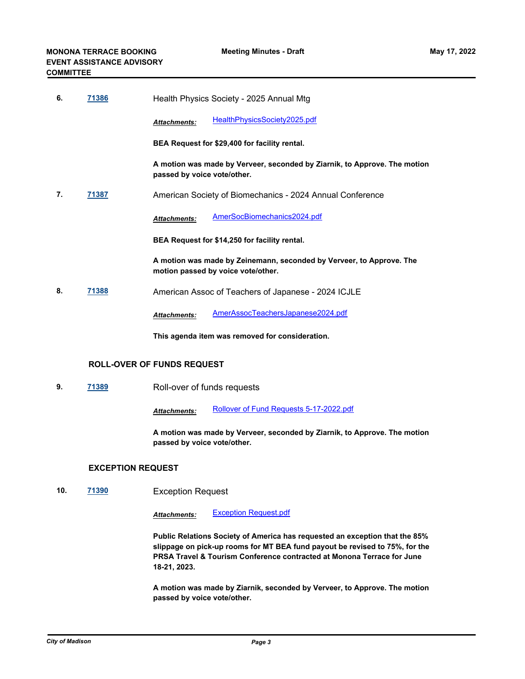| 6. | 71386 | Health Physics Society - 2025 Annual Mtg                                                                   |  |
|----|-------|------------------------------------------------------------------------------------------------------------|--|
|    |       | HealthPhysicsSociety2025.pdf<br>Attachments:                                                               |  |
|    |       | BEA Request for \$29,400 for facility rental.                                                              |  |
|    |       | A motion was made by Verveer, seconded by Ziarnik, to Approve. The motion<br>passed by voice vote/other.   |  |
| 7. | 71387 | American Society of Biomechanics - 2024 Annual Conference                                                  |  |
|    |       | AmerSocBiomechanics2024.pdf<br><b>Attachments:</b>                                                         |  |
|    |       | BEA Request for \$14,250 for facility rental.                                                              |  |
|    |       | A motion was made by Zeinemann, seconded by Verveer, to Approve. The<br>motion passed by voice vote/other. |  |
| 8. | 71388 | American Assoc of Teachers of Japanese - 2024 ICJLE                                                        |  |
|    |       | AmerAssocTeachersJapanese2024.pdf<br><b>Attachments:</b>                                                   |  |
|    |       | This agenda item was removed for consideration.                                                            |  |

# **ROLL-OVER OF FUNDS REQUEST**

**9. [71389](http://madison.legistar.com/gateway.aspx?m=l&id=/matter.aspx?key=83318)** Roll-over of funds requests

*Attachments:* [Rollover of Fund Requests 5-17-2022.pdf](http://madison.legistar.com/gateway.aspx?M=F&ID=a68cd1f8-0c12-419a-be77-cf586413fa47.pdf)

**A motion was made by Verveer, seconded by Ziarnik, to Approve. The motion passed by voice vote/other.**

# **EXCEPTION REQUEST**

**10. [71390](http://madison.legistar.com/gateway.aspx?m=l&id=/matter.aspx?key=83319)** Exception Request

*Attachments:* [Exception Request.pdf](http://madison.legistar.com/gateway.aspx?M=F&ID=99dc0ea9-b975-49ae-ac88-90a1f87b1c06.pdf)

**Public Relations Society of America has requested an exception that the 85% slippage on pick-up rooms for MT BEA fund payout be revised to 75%, for the PRSA Travel & Tourism Conference contracted at Monona Terrace for June 18-21, 2023.**

**A motion was made by Ziarnik, seconded by Verveer, to Approve. The motion passed by voice vote/other.**